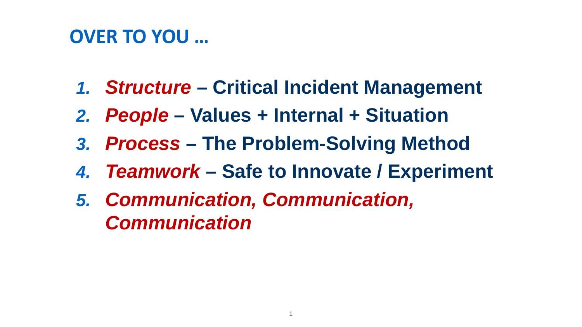#### **OVER TO YOU …**

- *1. Structure* **– Critical Incident Management**
- *2. People* **– Values + Internal + Situation**
- *3. Process* **– The Problem-Solving Method**
- *4. Teamwork –* **Safe to Innovate / Experiment**
- *5. Communication, Communication, Communication*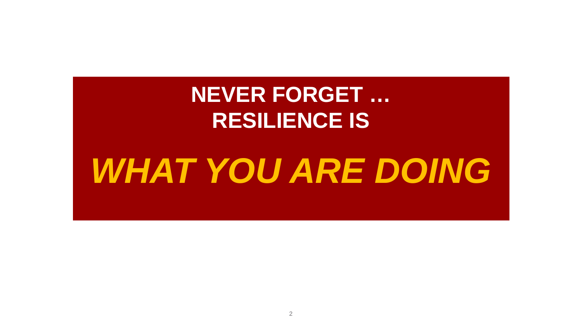### **NEVER FORGET … RESILIENCE IS**

# *WHAT YOU ARE DOING*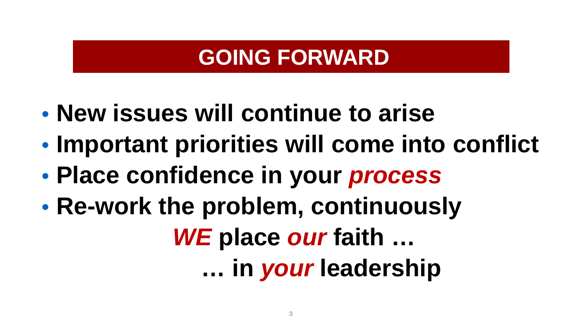#### **GOING FORWARD**

- **New issues will continue to arise**
- **Important priorities will come into conflict**
- **Place confidence in your** *process*
- **Re-work the problem, continuously** *WE* **place** *our* **faith … … in** *your* **leadership**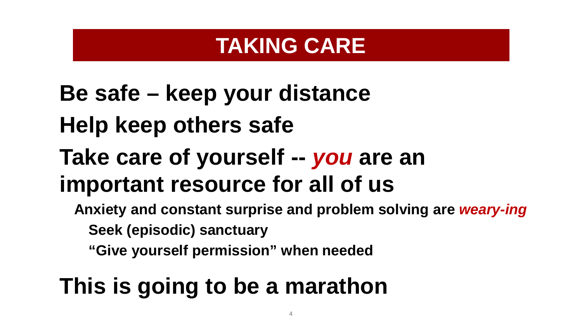#### **TAKING CARE**

# **Be safe – keep your distance Help keep others safe Take care of yourself --** *you* **are an important resource for all of us**

- **Anxiety and constant surprise and problem solving are** *weary-ing*
	- **Seek (episodic) sanctuary**
	- **"Give yourself permission" when needed**

### **This is going to be a marathon**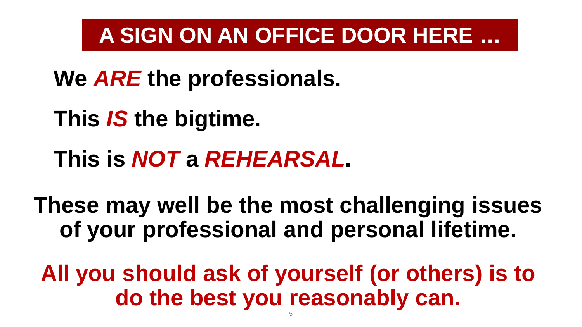#### **A SIGN ON AN OFFICE DOOR HERE …**

- **We** *ARE* **the professionals.**
- **This** *IS* **the bigtime.**
- **This is** *NOT* **a** *REHEARSAL***.**

**These may well be the most challenging issues of your professional and personal lifetime.**

**All you should ask of yourself (or others) is to do the best you reasonably can.**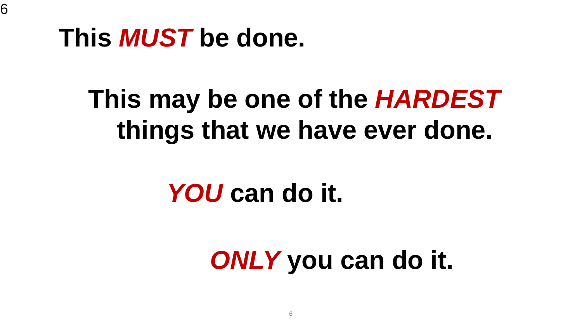### **Our Message To You … This** *MUST* **be done.**

# **This may be one of the** *HARDEST* **things that we have ever done.**

# *YOU* **can do it.**

# *ONLY* **you can do it.**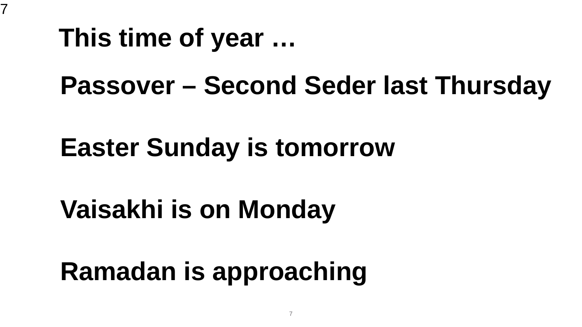### This time of year ...

7

### **Passover – Second Seder last Thursday**

# **Easter Sunday is tomorrow**

# **Vaisakhi is on Monday**

**Ramadan is approaching**